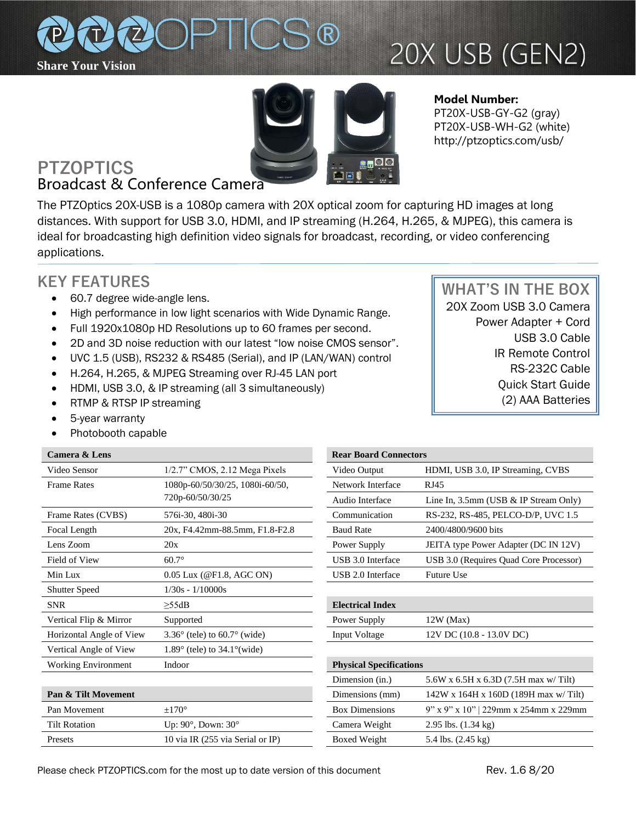

# 20X USB (GEN2)



**Model Number:**  PT20X-USB-GY-G2 (gray) PT20X-USB-WH-G2 (white) http://ptzoptics.com/usb/

# **PTZOPTICS** Broadcast & Conference Camera

The PTZOptics 20X-USB is a 1080p camera with 20X optical zoom for capturing HD images at long distances. With support for USB 3.0, HDMI, and IP streaming (H.264, H.265, & MJPEG), this camera is ideal for broadcasting high definition video signals for broadcast, recording, or video conferencing applications.

# **KEY FEATURES**

- 60.7 degree wide-angle lens.
- High performance in low light scenarios with Wide Dynamic Range.
- Full 1920x1080p HD Resolutions up to 60 frames per second.
- 2D and 3D noise reduction with our latest "low noise CMOS sensor".
- UVC 1.5 (USB), RS232 & RS485 (Serial), and IP (LAN/WAN) control
- H.264, H.265, & MJPEG Streaming over RJ-45 LAN port
- HDMI, USB 3.0, & IP streaming (all 3 simultaneously)
- RTMP & RTSP IP streaming
- 5-year warranty
- Photobooth capable

## **Camera & Lens**

| Video Sensor               | $1/2.7$ " CMOS, $2.12$ Mega Pixels         | Video Output                   | HDMI, USB 3.0, IP Streaming, CVBS        |
|----------------------------|--------------------------------------------|--------------------------------|------------------------------------------|
| <b>Frame Rates</b>         | 1080p-60/50/30/25, 1080i-60/50,            | Network Interface              | RJ45                                     |
|                            | 720p-60/50/30/25                           | Audio Interface                | Line In, $3.5$ mm (USB & IP Stream Only) |
| Frame Rates (CVBS)         | 576i-30, 480i-30                           | Communication                  | RS-232, RS-485, PELCO-D/P, UVC 1.5       |
| Focal Length               | 20x, F4.42mm-88.5mm, F1.8-F2.8             | <b>Baud Rate</b>               | 2400/4800/9600 bits                      |
| Lens Zoom                  | 20x                                        | Power Supply                   | JEITA type Power Adapter (DC IN 12V)     |
| Field of View              | $60.7^\circ$                               | USB 3.0 Interface              | USB 3.0 (Requires Quad Core Processor)   |
| Min Lux                    | 0.05 Lux (@F1.8, AGC ON)                   | USB 2.0 Interface              | Future Use                               |
| <b>Shutter Speed</b>       | $1/30s - 1/10000s$                         |                                |                                          |
| <b>SNR</b>                 | >55dB                                      | <b>Electrical Index</b>        |                                          |
| Vertical Flip & Mirror     | Supported                                  | Power Supply                   | $12W$ (Max)                              |
| Horizontal Angle of View   | $3.36^{\circ}$ (tele) to 60.7° (wide)      | <b>Input Voltage</b>           | 12V DC (10.8 - 13.0V DC)                 |
| Vertical Angle of View     | $1.89^\circ$ (tele) to $34.1^\circ$ (wide) |                                |                                          |
| <b>Working Environment</b> | Indoor                                     | <b>Physical Specifications</b> |                                          |
|                            |                                            | Dimension (in.)                | 5.6W x 6.5H x 6.3D (7.5H max w/ Tilt)    |
|                            |                                            |                                |                                          |

| <b>Pan &amp; Tilt Movement</b> |                                   | Dimensions (mm)       | $142W$ x 164H x 160D (189H max w/ Tilt)  |
|--------------------------------|-----------------------------------|-----------------------|------------------------------------------|
| Pan Movement                   | $+170^\circ$                      | <b>Box Dimensions</b> | $9''$ x 9" x 10"   229mm x 254mm x 229mm |
| Tilt Rotation                  | Up: $90^\circ$ , Down: $30^\circ$ | Camera Weight         | 2.95 lbs. $(1.34 \text{ kg})$            |
| Presets                        | 10 via IR (255 via Serial or IP)  | Boxed Weight          | 5.4 lbs. $(2.45 \text{ kg})$             |

| <b>Rear Board Connectors</b> |                                        |  |
|------------------------------|----------------------------------------|--|
| Video Output                 | HDMI, USB 3.0, IP Streaming, CVBS      |  |
| Network Interface            | RJ45                                   |  |
| Audio Interface              | Line In, 3.5mm (USB & IP Stream Only)  |  |
| Communication                | RS-232, RS-485, PELCO-D/P, UVC 1.5     |  |
| <b>Baud Rate</b>             | 2400/4800/9600 bits                    |  |
| Power Supply                 | JEITA type Power Adapter (DC IN 12V)   |  |
| USB 3.0 Interface            | USB 3.0 (Requires Quad Core Processor) |  |
| USB 2.0 Interface            | <b>Future Use</b>                      |  |

| <b>Electrical Index</b> |                          |
|-------------------------|--------------------------|
| Power Supply            | $12W$ (Max)              |
| Input Voltage           | 12V DC (10.8 - 13.0V DC) |
|                         |                          |

| <b>Physical Specifications</b> |                                              |  |
|--------------------------------|----------------------------------------------|--|
| Dimension (in.)                | 5.6W x 6.5H x 6.3D (7.5H max w/ Tilt)        |  |
| Dimensions (mm)                | $142W$ x $164H$ x $160D$ (189H max w/Tilt)   |  |
| <b>Box Dimensions</b>          | $9''$ x $9''$ x $10''$ 229mm x 254mm x 229mm |  |
| Camera Weight                  | 2.95 lbs. $(1.34 \text{ kg})$                |  |
| Boxed Weight                   | 5.4 lbs. $(2.45 \text{ kg})$                 |  |
|                                |                                              |  |

 **WHAT'S IN THE BOX** 20X Zoom USB 3.0 Camera Power Adapter + Cord USB 3.0 Cable IR Remote Control RS-232C Cable Quick Start Guide (2) AAA Batteries